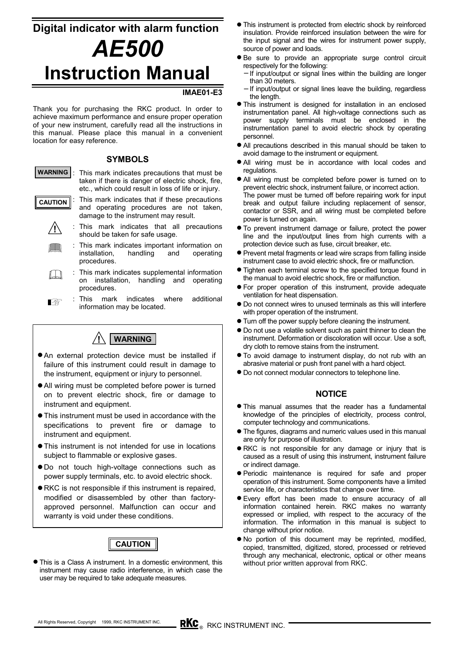# **Digital indicator with alarm function** *AE500* **Instruction Manual**

## **IMAE01-E3**

Thank you for purchasing the RKC product. In order to achieve maximum performance and ensure proper operation of your new instrument, carefully read all the instructions in this manual. Please place this manual in a convenient location for easy reference.

## **SYMBOLS**

- : This mark indicates precautions that must be taken if there is danger of electric shock, fire, etc., which could result in loss of life or injury. **WARNING**
- : This mark indicates that if these precautions and operating procedures are not taken, damage to the instrument may result. **CAUTION**
	- **!**
		- : This mark indicates that all precautions should be taken for safe usage.
		- : This mark indicates important information on installation, handling and operating procedures.
	- : This mark indicates supplemental information  $\mathbb{L} \mathbb{L}$ on installation, handling and operating procedures.
	- : This mark indicates where additional 啥 information may be located.



- $\bullet$  An external protection device must be installed if failure of this instrument could result in damage to the instrument, equipment or injury to personnel.
- All wiring must be completed before power is turned on to prevent electric shock, fire or damage to instrument and equipment.
- $\bullet$  This instrument must be used in accordance with the specifications to prevent fire or damage to instrument and equipment.
- $\bullet$  This instrument is not intended for use in locations subject to flammable or explosive gases.
- $\bullet$  Do not touch high-voltage connections such as power supply terminals, etc. to avoid electric shock.
- $\bullet$  RKC is not responsible if this instrument is repaired, modified or disassembled by other than factoryapproved personnel. Malfunction can occur and warranty is void under these conditions.



**•** This is a Class A instrument. In a domestic environment, this instrument may cause radio interference, in which case the user may be required to take adequate measures.

- $\bullet$  This instrument is protected from electric shock by reinforced insulation. Provide reinforced insulation between the wire for the input signal and the wires for instrument power supply, source of power and loads.
- $\bullet$  Be sure to provide an appropriate surge control circuit respectively for the following:
	- − If input/output or signal lines within the building are longer than 30 meters.
	- If input/output or signal lines leave the building, regardless the length.
- $\bullet$  This instrument is designed for installation in an enclosed instrumentation panel. All high-voltage connections such as power supply terminals must be enclosed in the instrumentation panel to avoid electric shock by operating personnel.
- All precautions described in this manual should be taken to avoid damage to the instrument or equipment.
- $\bullet$  All wiring must be in accordance with local codes and regulations.
- All wiring must be completed before power is turned on to prevent electric shock, instrument failure, or incorrect action. The power must be turned off before repairing work for input break and output failure including replacement of sensor, contactor or SSR, and all wiring must be completed before power is turned on again.
- $\bullet$  To prevent instrument damage or failure, protect the power line and the input/output lines from high currents with a protection device such as fuse, circuit breaker, etc.
- Prevent metal fragments or lead wire scraps from falling inside instrument case to avoid electric shock, fire or malfunction.
- Tighten each terminal screw to the specified torque found in the manual to avoid electric shock, fire or malfunction.
- For proper operation of this instrument, provide adequate ventilation for heat dispensation.
- $\bullet$  Do not connect wires to unused terminals as this will interfere with proper operation of the instrument.
- $\bullet$  Turn off the power supply before cleaning the instrument.
- $\bullet$  Do not use a volatile solvent such as paint thinner to clean the instrument. Deformation or discoloration will occur. Use a soft, dry cloth to remove stains from the instrument.
- $\bullet$  To avoid damage to instrument display, do not rub with an abrasive material or push front panel with a hard object.
- $\bullet$  Do not connect modular connectors to telephone line.

## **NOTICE**

- $\bullet$  This manual assumes that the reader has a fundamental knowledge of the principles of electricity, process control, computer technology and communications.
- The figures, diagrams and numeric values used in this manual are only for purpose of illustration.
- RKC is not responsible for any damage or injury that is caused as a result of using this instrument, instrument failure or indirect damage.
- **•** Periodic maintenance is required for safe and proper operation of this instrument. Some components have a limited service life, or characteristics that change over time.
- $\bullet$  Every effort has been made to ensure accuracy of all information contained herein. RKC makes no warranty expressed or implied, with respect to the accuracy of the information. The information in this manual is subject to change without prior notice.
- $\bullet$  No portion of this document may be reprinted, modified, copied, transmitted, digitized, stored, processed or retrieved through any mechanical, electronic, optical or other means without prior written approval from RKC.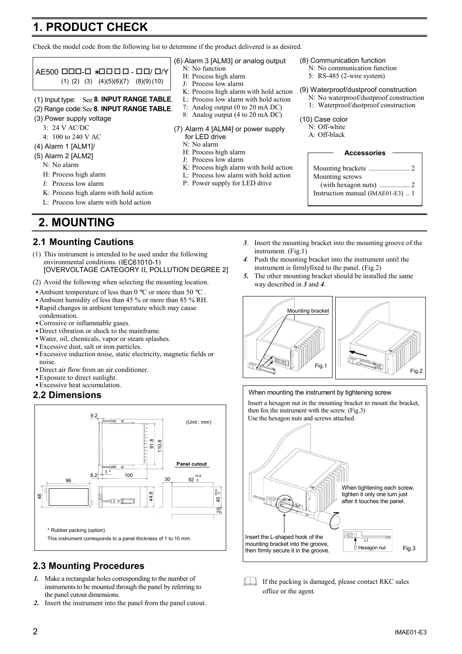# **1. PRODUCT CHECK**

Check the model code from the following list to determine if the product delivered is as desired.



- J: Process low alarm
- K: Process high alarm with hold action
- L: Process low alarm with hold action

# **2. MOUNTING**

## **2.1 Mounting Cautions**

- (1) This instrument is intended to be used under the following environmental conditions. (IEC61010-1) [OVERVOLTAGE CATEGORY II, POLLUTION DEGREE 2]
- (2) Avoid the following when selecting the mounting location.
- Ambient temperature of less than 0  $\degree$ C or more than 50  $\degree$ C
- Ambient humidity of less than 45 % or more than 85 % RH.
- Rapid changes in ambient temperature which may cause condensation.
- Corrosive or inflammable gases.
- Direct vibration or shock to the mainframe.
- Water, oil, chemicals, vapor or steam splashes.
- Excessive dust, salt or iron particles.
- Excessive induction noise, static electricity, magnetic fields or noise.
- Direct air flow from an air conditioner.
- Exposure to direct sunlight.
- Excessive heat sccumulation.

## **2.2 Dimensions**



## **2.3 Mounting Procedures**

- *1.* Make a rectangular holes corresponding to the number of instruments to be mounted through the panel by referring to the panel cutout dimensions.
- *2.* Insert the instrument into the panel from the panel cutout.
- P: Power supply for LED drive
- 

| <b>Accessories</b>                |
|-----------------------------------|
|                                   |
| Mounting screws                   |
|                                   |
| Instruction manual (IMAE01-E3)  1 |

- *3*. Insert the mounting bracket into the mounting groove of the instrument. (Fig.1)
- *4.* Push the mounting bracket into the instrument until the instrument is firmlyfixed to the panel. (Fig.2)
- *5.* The other mounting bracket should be installed the same way described in *3* and *4*.





 $\Box$  If the packing is damaged, please contact RKC sales office or the agent.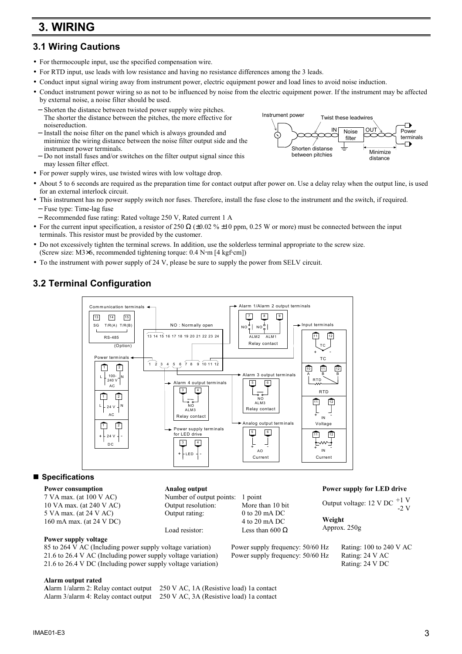# **3. WIRING**

## **3.1 Wiring Cautions**

- For thermocouple input, use the specified compensation wire.
- For RTD input, use leads with low resistance and having no resistance differences among the 3 leads.
- Conduct input signal wiring away from instrument power, electric equipment power and load lines to avoid noise induction.
- Conduct instrument power wiring so as not to be influenced by noise from the electric equipment power. If the instrument may be affected by external noise, a noise filter should be used.
- − Shorten the distance between twisted power supply wire pitches. The shorter the distance between the pitches, the more effective for noisereduction.
- − Install the noise filter on the panel which is always grounded and minimize the wiring distance between the noise filter output side and the instrument power terminals.
- − Do not install fuses and/or switches on the filter output signal since this may lessen filter effect.
- For power supply wires, use twisted wires with low voltage drop.
- About 5 to 6 seconds are required as the preparation time for contact output after power on. Use a delay relay when the output line, is used for an external interlock circuit.
- This instrument has no power supply switch nor fuses. Therefore, install the fuse close to the instrument and the switch, if required. − Fuse type: Time-lag fuse
- − Recommended fuse rating: Rated voltage 250 V, Rated current 1 A
- For the current input specification, a resistor of 250  $\Omega$  (±0.02 % ±10 ppm, 0.25 W or more) must be connected between the input terminals. This resistor must be provided by the customer.
- Do not excessively tighten the terminal screws. In addition, use the solderless terminal appropriate to the screw size. (Screw size:  $M3\times6$ , recommended tightening torque:  $0.4$  N·m [4 kgf·cm])
- To the instrument with power supply of 24 V, please be sure to supply the power from SELV circuit.

# **3.2 Terminal Configuration**



## ■ Specifications

#### **Power consumption**

7 VA max. (at 100 V AC) 10 VA max. (at 240 V AC) 5 VA max. (at 24 V AC) 160 mA max. (at 24 V DC)

#### **Power supply voltage**

85 to 264 V AC (Including power supply voltage variation) Power supply frequency: 50/60 Hz Rating: 100 to 240 V AC 21.6 to 26.4 V AC (Including power supply voltage variation) Power supply frequency: 50/60 Hz Rating: 24 V AC 21.6 to 26.4 V DC (Including power supply voltage variation) Rating: 24 V DC

## **Analog output**

Number of output points: 1 point Output resolution: More than 10 bit Output rating: 0 to 20 mA DC 4 to 20 mA DC Load resistor: Less than 600  $\Omega$ 

## **Power supply for LED drive**

Output voltage: 12 V DC **Weight** Approx. 250g +1 V  $-2$  V

## **Alarm output rated**

**A**larm 1/alarm 2: Relay contact output 250 V AC, 1A (Resistive load) 1a contact Alarm 3/alarm 4: Relay contact output 250 V AC, 3A (Resistive load) 1a contact

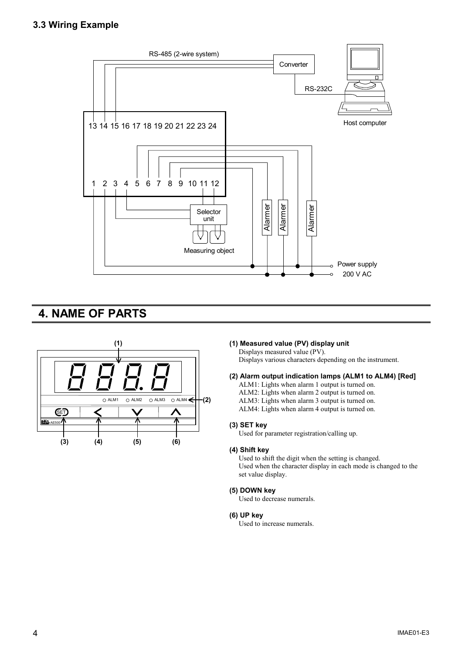## **3.3 Wiring Example**



# **4. NAME OF PARTS**



## **(1) (1) Measured value (PV) display unit**

Displays measured value (PV).

Displays various characters depending on the instrument.

## **(2) Alarm output indication lamps (ALM1 to ALM4) [Red]**

- ALM1: Lights when alarm 1 output is turned on.
- ALM2: Lights when alarm 2 output is turned on.
- ALM3: Lights when alarm 3 output is turned on.

ALM4: Lights when alarm 4 output is turned on.

#### **(3) SET key**

Used for parameter registration/calling up.

#### **(4) Shift key**

Used to shift the digit when the setting is changed. Used when the character display in each mode is changed to the set value display.

## **(5) DOWN key**

Used to decrease numerals.

#### **(6) UP key**

Used to increase numerals.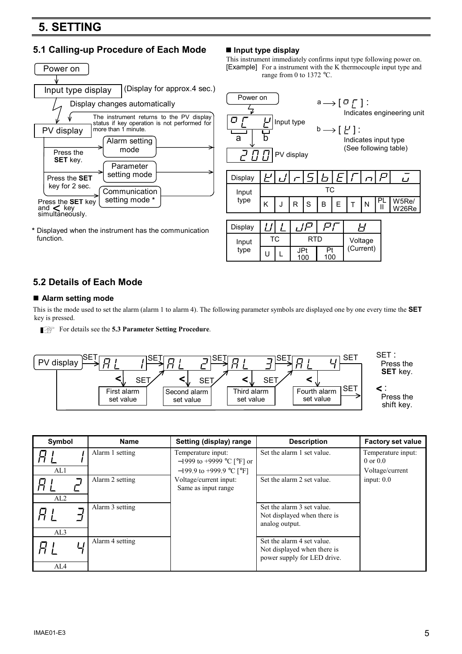# **5. SETTING**

## **5.1 Calling-up Procedure of Each Mode ■ Input type display**



**\*** Displayed when the instrument has the communication function.

This instrument immediately confirms input type following power on. [Example] For a instrument with the K thermocouple input type and range from 0 to 1372 °C.



| Display |    |     |           |           |  |
|---------|----|-----|-----------|-----------|--|
| Input   | ТC | RTD | Voltage   |           |  |
| type    |    | ınn | Pi<br>100 | (Current) |  |

## **5.2 Details of Each Mode**

## **Alarm setting mode**

This is the mode used to set the alarm (alarm 1 to alarm 4). The following parameter symbols are displayed one by one every time the **SET** key is pressed.

For details see the **5.3 Parameter Setting Procedure**.



| Symbol | <b>Name</b>     | Setting (display) range                         | <b>Description</b>                                                                       | <b>Factory set value</b>           |
|--------|-----------------|-------------------------------------------------|------------------------------------------------------------------------------------------|------------------------------------|
|        | Alarm 1 setting | Temperature input:<br>-1999 to +9999 °C [°F] or | Set the alarm 1 set value.                                                               | Temperature input:<br>$0$ or $0.0$ |
| AL1    |                 | $-199.9$ to +999.9 °C [°F]                      |                                                                                          | Voltage/current                    |
|        | Alarm 2 setting | Voltage/current input:<br>Same as input range   | Set the alarm 2 set value.                                                               | input: $0.0$                       |
| AL2    |                 |                                                 |                                                                                          |                                    |
|        | Alarm 3 setting |                                                 | Set the alarm 3 set value.<br>Not displayed when there is<br>analog output.              |                                    |
| AL3    |                 |                                                 |                                                                                          |                                    |
| AL4    | Alarm 4 setting |                                                 | Set the alarm 4 set value.<br>Not displayed when there is<br>power supply for LED drive. |                                    |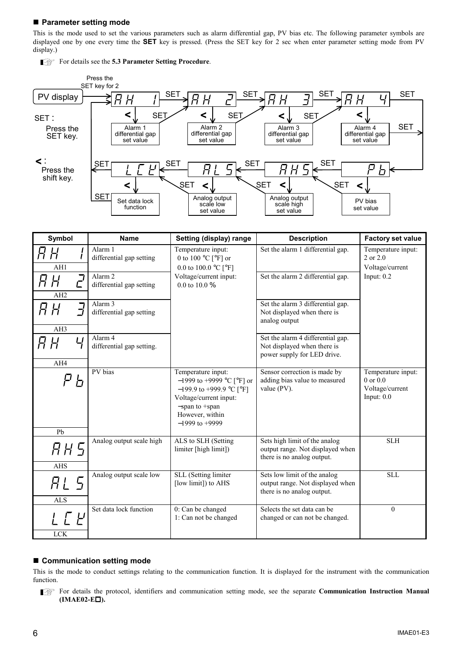## **Parameter setting mode**

For details see the **5.3 Parameter Setting Procedure**.

This is the mode used to set the various parameters such as alarm differential gap, PV bias etc. The following parameter symbols are displayed one by one every time the **SET** key is pressed. (Press the SET key for 2 sec when enter parameter setting mode from PV display.)



| Symbol                        | <b>Name</b>                                    | Setting (display) range                                                                                                                                                  | <b>Description</b>                                                                              | <b>Factory set value</b>                                              |  |  |
|-------------------------------|------------------------------------------------|--------------------------------------------------------------------------------------------------------------------------------------------------------------------------|-------------------------------------------------------------------------------------------------|-----------------------------------------------------------------------|--|--|
| R H<br>AH1                    | Alarm 1<br>differential gap setting            | Temperature input:<br>0 to 100 $^{\circ}$ C [ $^{\circ}$ F] or<br>0.0 to 100.0 $^{\circ}$ C [ $^{\circ}$ F]                                                              | Set the alarm 1 differential gap.                                                               | Temperature input:<br>2 or 2.0<br>Voltage/current                     |  |  |
| $\vec{L}$<br>R H<br>AH2       | Alarm <sub>2</sub><br>differential gap setting | Voltage/current input:<br>0.0 to 10.0 $%$                                                                                                                                | Set the alarm 2 differential gap.                                                               | Input: $0.2$                                                          |  |  |
| $\vec{J}$<br>FL.<br>AH3       | Alarm 3<br>differential gap setting            |                                                                                                                                                                          | Set the alarm 3 differential gap.<br>Not displayed when there is<br>analog output               |                                                                       |  |  |
| Ч<br>R H<br>AH4               | Alarm 4<br>differential gap setting.           |                                                                                                                                                                          | Set the alarm 4 differential gap.<br>Not displayed when there is<br>power supply for LED drive. |                                                                       |  |  |
| PV bias<br>h                  |                                                | Temperature input:<br>$-1999$ to +9999 °C [°F] or<br>$-199.9$ to +999.9 °C [°F]<br>Voltage/current input:<br>$-$ span to $+$ span<br>However, within<br>$-1999$ to +9999 | Sensor correction is made by<br>adding bias value to measured<br>value (PV).                    | Temperature input:<br>$0$ or $0.0$<br>Voltage/current<br>Input: $0.0$ |  |  |
| Pb<br>НН 5<br><b>AHS</b>      | Analog output scale high                       | ALS to SLH (Setting<br>limiter [high limit])                                                                                                                             | Sets high limit of the analog<br>output range. Not displayed when<br>there is no analog output. | <b>SLH</b>                                                            |  |  |
| RL 5<br><b>ALS</b>            | Analog output scale low                        | SLL (Setting limiter<br>[low limit]) to AHS                                                                                                                              | Sets low limit of the analog<br>output range. Not displayed when<br>there is no analog output.  | SLL                                                                   |  |  |
| $\int \int \mu$<br><b>LCK</b> | Set data lock function                         | 0: Can be changed<br>1: Can not be changed                                                                                                                               | Selects the set data can be<br>changed or can not be changed.                                   | $\theta$                                                              |  |  |

## ■ Communication setting mode

This is the mode to conduct settings relating to the communication function. It is displayed for the instrument with the communication function.

For details the protocol, identifiers and communication setting mode, see the separate **Communication Instruction Manual (IMAE02-E).**

## $6$  IMAE01-E3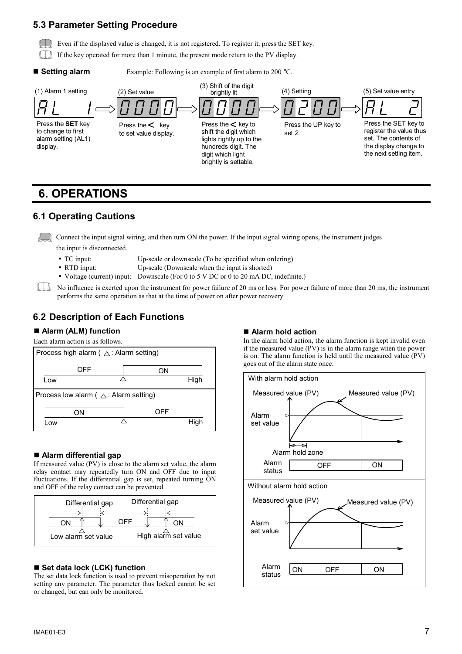## **5.3 Parameter Setting Procedure**

Even if the displayed value is changed, it is not registered. To register it, press the SET key.

- If the key operated for more than 1 minute, the present mode return to the PV display.
- 

**Setting alarm** Example: Following is an example of first alarm to 200 °C.



# **6. OPERATIONS**

## **6.1 Operating Cautions**

Connect the input signal wiring, and then turn ON the power. If the input signal wiring opens, the instrument judges

the input is disconnected.

- TC input: Up-scale or downscale (To be specified when ordering)
- RTD input: Up-scale (Downscale when the input is shorted)
- Voltage (current) input: Downscale (For 0 to 5 V DC or 0 to 20 mA DC, indefinite.)

No influence is exerted upon the instrument for power failure of 20 ms or less. For power failure of more than 20 ms, the instrument performs the same operation as that at the time of power on after power recovery.

# **6.2 Description of Each Functions**

## **Alarm (ALM) function**

Each alarm action is as follows.



## **Alarm differential gap**

If measured value (PV) is close to the alarm set value, the alarm relay contact may repeatedly turn ON and OFF due to input fluctuations. If the differential gap is set, repeated turning ON and OFF of the relay contact can be prevented.



## ■ Set data lock (LCK) function

The set data lock function is used to prevent misoperation by not setting any parameter. The parameter thus locked cannot be set or changed, but can only be monitored.

## **Alarm hold action**

In the alarm hold action, the alarm function is kept invalid even if the measured value (PV) is in the alarm range when the power is on. The alarm function is held until the measured value (PV) goes out of the alarm state once.